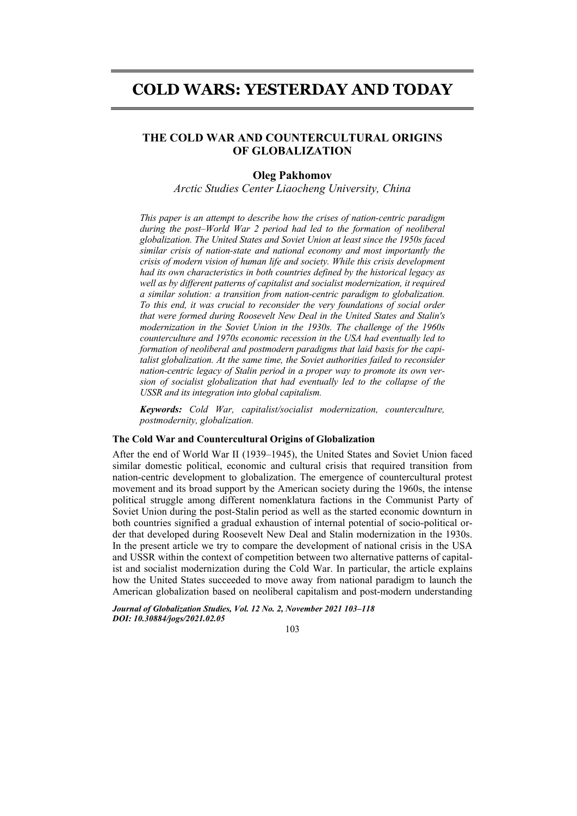# **COLD WARS: YESTERDAY AND TODAY**

# **THE COLD WAR AND COUNTERCULTURAL ORIGINS OF GLOBALIZATION**

# **Oleg Pakhomov**

*Arctic Studies Center Liaocheng University, China*

*This paper is an attempt to describe how the crises of nation-centric paradigm during the post–World War 2 period had led to the formation of neoliberal globalization. The United States and Soviet Union at least since the 1950s faced similar crisis of nation-state and national economy and most importantly the crisis of modern vision of human life and society. While this crisis development had its own characteristics in both countries defined by the historical legacy as well as by different patterns of capitalist and socialist modernization, it required a similar solution: a transition from nation-centric paradigm to globalization. To this end, it was crucial to reconsider the very foundations of social order that were formed during Roosevelt New Deal in the United States and Stalin's modernization in the Soviet Union in the 1930s. The challenge of the 1960s counterculture and 1970s economic recession in the USA had eventually led to formation of neoliberal and postmodern paradigms that laid basis for the capitalist globalization. At the same time, the Soviet authorities failed to reconsider nation-centric legacy of Stalin period in a proper way to promote its own version of socialist globalization that had eventually led to the collapse of the USSR and its integration into global capitalism.* 

*Keywords: Cold War, capitalist/socialist modernization, counterculture, postmodernity, globalization.* 

### **The Cold War and Countercultural Origins of Globalization**

After the end of World War II (1939–1945), the United States and Soviet Union faced similar domestic political, economic and cultural crisis that required transition from nation-centric development to globalization. The emergence of countercultural protest movement and its broad support by the American society during the 1960s, the intense political struggle among different nomenklatura factions in the Communist Party of Soviet Union during the post-Stalin period as well as the started economic downturn in both countries signified a gradual exhaustion of internal potential of socio-political order that developed during Roosevelt New Deal and Stalin modernization in the 1930s. In the present article we try to compare the development of national crisis in the USA and USSR within the context of competition between two alternative patterns of capitalist and socialist modernization during the Cold War. In particular, the article explains how the United States succeeded to move away from national paradigm to launch the American globalization based on neoliberal capitalism and post-modern understanding

*Journal of Globalization Studies, Vol. 12 No. 2, November 2021 103–118 DOI: 10.30884/jogs/2021.02.05* 

103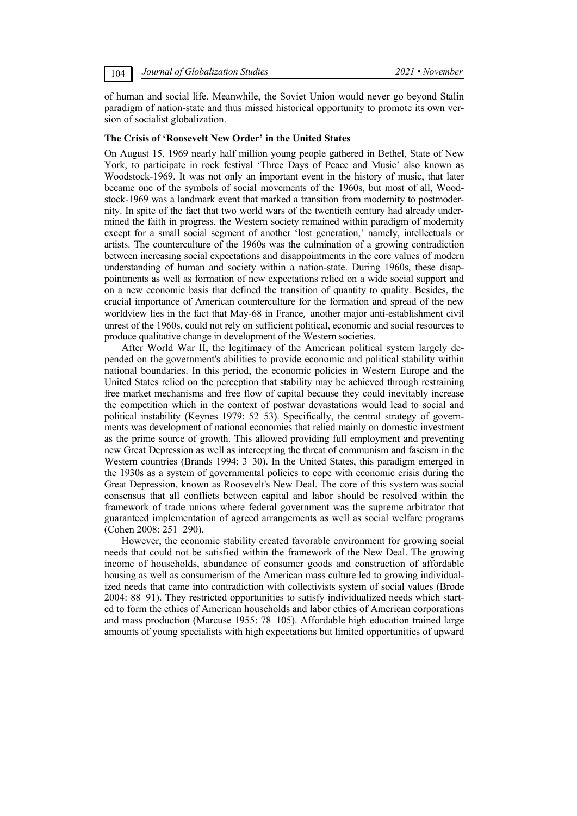of human and social life. Meanwhile, the Soviet Union would never go beyond Stalin paradigm of nation-state and thus missed historical opportunity to promote its own version of socialist globalization.

### **The Crisis of 'Roosevelt New Order' in the United States**

On August 15, 1969 nearly half million young people gathered in Bethel, State of New York, to participate in rock festival 'Three Days of Peace and Music' also known as Woodstock-1969. It was not only an important event in the history of music, that later became one of the symbols of social movements of the 1960s, but most of all, Woodstock-1969 was a landmark event that marked a transition from modernity to postmodernity. In spite of the fact that two world wars of the twentieth century had already undermined the faith in progress, the Western society remained within paradigm of modernity except for a small social segment of another 'lost generation,' namely, intellectuals or artists. The counterculture of the 1960s was the culmination of a growing contradiction between increasing social expectations and disappointments in the core values of modern understanding of human and society within a nation-state. During 1960s, these disappointments as well as formation of new expectations relied on a wide social support and on a new economic basis that defined the transition of quantity to quality. Besides, the crucial importance of American counterculture for the formation and spread of the new worldview lies in the fact that May-68 in France, another major anti-establishment civil unrest of the 1960s, could not rely on sufficient political, economic and social resources to produce qualitative change in development of the Western societies.

After World War II, the legitimacy of the American political system largely depended on the government's abilities to provide economic and political stability within national boundaries. In this period, the economic policies in Western Europe and the United States relied on the perception that stability may be achieved through restraining free market mechanisms and free flow of capital because they could inevitably increase the competition which in the context of postwar devastations would lead to social and political instability (Keynes 1979: 52–53). Specifically, the central strategy of governments was development of national economies that relied mainly on domestic investment as the prime source of growth. This allowed providing full employment and preventing new Great Depression as well as intercepting the threat of communism and fascism in the Western countries (Brands 1994: 3–30). In the United States, this paradigm emerged in the 1930s as a system of governmental policies to cope with economic crisis during the Great Depression, known as Roosevelt's New Deal. The core of this system was social consensus that all conflicts between capital and labor should be resolved within the framework of trade unions where federal government was the supreme arbitrator that guaranteed implementation of agreed arrangements as well as social welfare programs (Cohen 2008: 251–290).

However, the economic stability created favorable environment for growing social needs that could not be satisfied within the framework of the New Deal. The growing income of households, abundance of consumer goods and construction of affordable housing as well as consumerism of the American mass culture led to growing individualized needs that came into contradiction with collectivists system of social values (Brode 2004: 88–91). They restricted opportunities to satisfy individualized needs which started to form the ethics of American households and labor ethics of American corporations and mass production (Marcuse 1955: 78–105). Affordable high education trained large amounts of young specialists with high expectations but limited opportunities of upward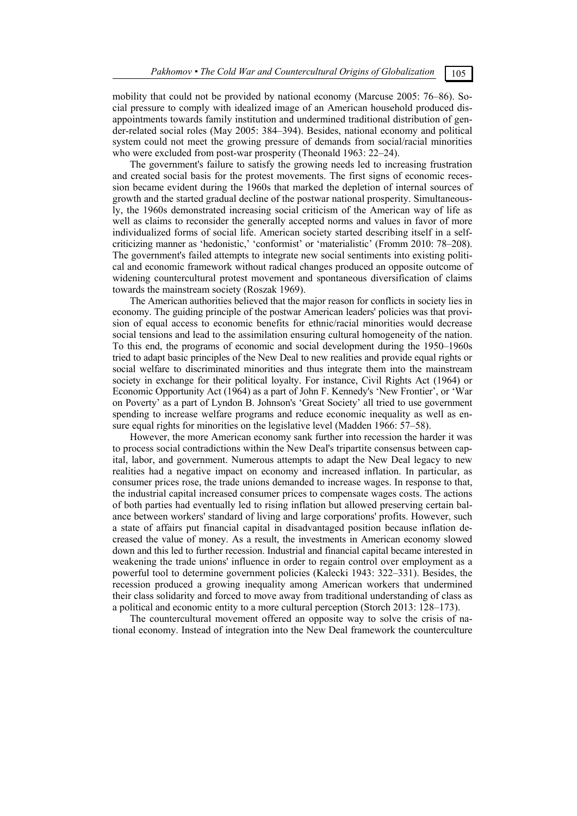mobility that could not be provided by national economy (Marcuse 2005: 76–86). Social pressure to comply with idealized image of an American household produced disappointments towards family institution and undermined traditional distribution of gender-related social roles (May 2005: 384–394). Besides, national economy and political system could not meet the growing pressure of demands from social/racial minorities who were excluded from post-war prosperity (Theonald 1963: 22–24).

The government's failure to satisfy the growing needs led to increasing frustration and created social basis for the protest movements. The first signs of economic recession became evident during the 1960s that marked the depletion of internal sources of growth and the started gradual decline of the postwar national prosperity. Simultaneously, the 1960s demonstrated increasing social criticism of the American way of life as well as claims to reconsider the generally accepted norms and values in favor of more individualized forms of social life. American society started describing itself in a selfcriticizing manner as 'hedonistic,' 'conformist' or 'materialistic' (Fromm 2010: 78–208). The government's failed attempts to integrate new social sentiments into existing political and economic framework without radical changes produced an opposite outcome of widening countercultural protest movement and spontaneous diversification of claims towards the mainstream society (Roszak 1969).

The American authorities believed that the major reason for conflicts in society lies in economy. The guiding principle of the postwar American leaders' policies was that provision of equal access to economic benefits for ethnic/racial minorities would decrease social tensions and lead to the assimilation ensuring cultural homogeneity of the nation. To this end, the programs of economic and social development during the 1950–1960s tried to adapt basic principles of the New Deal to new realities and provide equal rights or social welfare to discriminated minorities and thus integrate them into the mainstream society in exchange for their political loyalty. For instance, Civil Rights Act (1964) or Economic Opportunity Act (1964) as a part of John F. Kennedy's 'New Frontier', or 'War on Poverty' as a part of Lyndon B. Johnson's 'Great Society' all tried to use government spending to increase welfare programs and reduce economic inequality as well as ensure equal rights for minorities on the legislative level (Madden 1966: 57–58).

However, the more American economy sank further into recession the harder it was to process social contradictions within the New Deal's tripartite consensus between capital, labor, and government. Numerous attempts to adapt the New Deal legacy to new realities had a negative impact on economy and increased inflation. In particular, as consumer prices rose, the trade unions demanded to increase wages. In response to that, the industrial capital increased consumer prices to compensate wages costs. The actions of both parties had eventually led to rising inflation but allowed preserving certain balance between workers' standard of living and large corporations' profits. However, such a state of affairs put financial capital in disadvantaged position because inflation decreased the value of money. As a result, the investments in American economy slowed down and this led to further recession. Industrial and financial capital became interested in weakening the trade unions' influence in order to regain control over employment as a powerful tool to determine government policies (Kalecki 1943: 322–331). Besides, the recession produced a growing inequality among American workers that undermined their class solidarity and forced to move away from traditional understanding of class as a political and economic entity to a more cultural perception (Storch 2013: 128–173).

The countercultural movement offered an opposite way to solve the crisis of national economy. Instead of integration into the New Deal framework the counterculture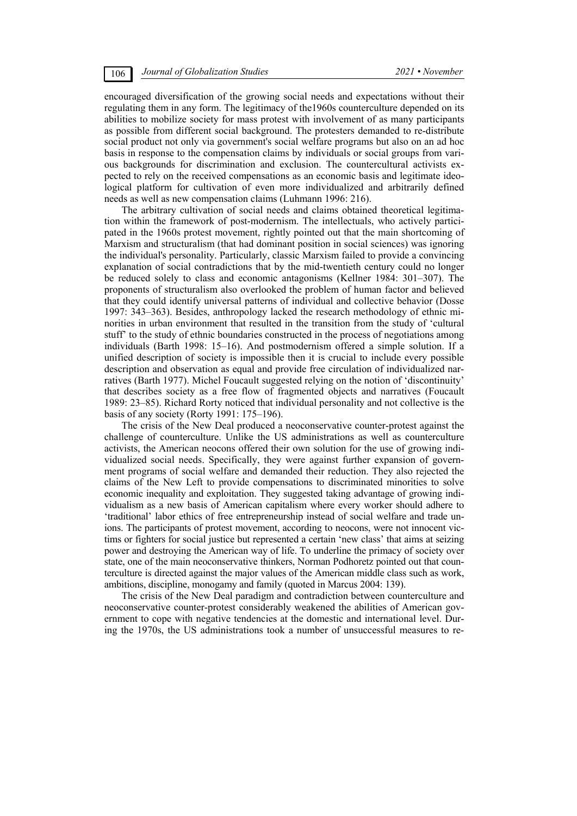encouraged diversification of the growing social needs and expectations without their regulating them in any form. The legitimacy of the1960s counterculture depended on its abilities to mobilize society for mass protest with involvement of as many participants as possible from different social background. The protesters demanded to re-distribute social product not only via government's social welfare programs but also on an ad hoc basis in response to the compensation claims by individuals or social groups from various backgrounds for discrimination and exclusion. The countercultural activists expected to rely on the received compensations as an economic basis and legitimate ideological platform for cultivation of even more individualized and arbitrarily defined needs as well as new compensation claims (Luhmann 1996: 216).

The arbitrary cultivation of social needs and claims obtained theoretical legitimation within the framework of post-modernism. The intellectuals, who actively participated in the 1960s protest movement, rightly pointed out that the main shortcoming of Marxism and structuralism (that had dominant position in social sciences) was ignoring the individual's personality. Particularly, classic Marxism failed to provide a convincing explanation of social contradictions that by the mid-twentieth century could no longer be reduced solely to class and economic antagonisms (Kellner 1984: 301–307). The proponents of structuralism also overlooked the problem of human factor and believed that they could identify universal patterns of individual and collective behavior (Dosse 1997: 343–363). Besides, anthropology lacked the research methodology of ethnic minorities in urban environment that resulted in the transition from the study of 'cultural stuff' to the study of ethnic boundaries constructed in the process of negotiations among individuals (Barth 1998: 15–16). And postmodernism offered a simple solution. If a unified description of society is impossible then it is crucial to include every possible description and observation as equal and provide free circulation of individualized narratives (Barth 1977). Michel Foucault suggested relying on the notion of 'discontinuity' that describes society as a free flow of fragmented objects and narratives (Foucault 1989: 23–85). Richard Rorty noticed that individual personality and not collective is the basis of any society (Rorty 1991: 175–196).

The crisis of the New Deal produced a neoconservative counter-protest against the challenge of counterculture. Unlike the US administrations as well as counterculture activists, the American neocons offered their own solution for the use of growing individualized social needs. Specifically, they were against further expansion of government programs of social welfare and demanded their reduction. They also rejected the claims of the New Left to provide compensations to discriminated minorities to solve economic inequality and exploitation. They suggested taking advantage of growing individualism as a new basis of American capitalism where every worker should adhere to 'traditional' labor ethics of free entrepreneurship instead of social welfare and trade unions. The participants of protest movement, according to neocons, were not innocent victims or fighters for social justice but represented a certain 'new class' that aims at seizing power and destroying the American way of life. To underline the primacy of society over state, one of the main neoconservative thinkers, Norman Podhoretz pointed out that counterculture is directed against the major values of the American middle class such as work, ambitions, discipline, monogamy and family (quoted in Marcus 2004: 139).

The crisis of the New Deal paradigm and contradiction between counterculture and neoconservative counter-protest considerably weakened the abilities of American government to cope with negative tendencies at the domestic and international level. During the 1970s, the US administrations took a number of unsuccessful measures to re-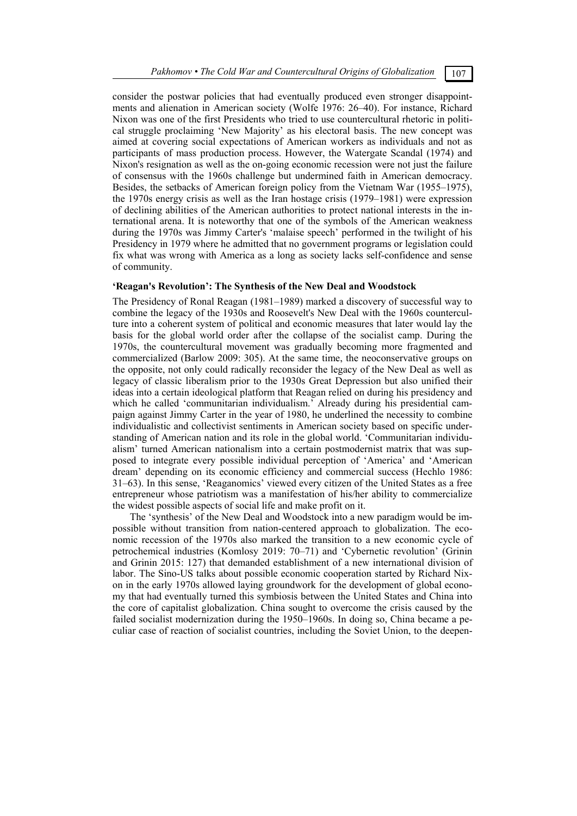consider the postwar policies that had eventually produced even stronger disappointments and alienation in American society (Wolfe 1976: 26–40). For instance, Richard Nixon was one of the first Presidents who tried to use countercultural rhetoric in political struggle proclaiming 'New Majority' as his electoral basis. The new concept was aimed at covering social expectations of American workers as individuals and not as participants of mass production process. However, the Watergate Scandal (1974) and Nixon's resignation as well as the on-going economic recession were not just the failure of consensus with the 1960s challenge but undermined faith in American democracy. Besides, the setbacks of American foreign policy from the Vietnam War (1955–1975), the 1970s energy crisis as well as the Iran hostage crisis (1979–1981) were expression of declining abilities of the American authorities to protect national interests in the international arena. It is noteworthy that one of the symbols of the American weakness during the 1970s was Jimmy Carter's 'malaise speech' performed in the twilight of his Presidency in 1979 where he admitted that no government programs or legislation could fix what was wrong with America as a long as society lacks self-confidence and sense of community.

# **'Reagan's Revolution': The Synthesis of the New Deal and Woodstock**

The Presidency of Ronal Reagan (1981–1989) marked a discovery of successful way to combine the legacy of the 1930s and Roosevelt's New Deal with the 1960s counterculture into a coherent system of political and economic measures that later would lay the basis for the global world order after the collapse of the socialist camp. During the 1970s, the countercultural movement was gradually becoming more fragmented and commercialized (Barlow 2009: 305). At the same time, the neoconservative groups on the opposite, not only could radically reconsider the legacy of the New Deal as well as legacy of classic liberalism prior to the 1930s Great Depression but also unified their ideas into a certain ideological platform that Reagan relied on during his presidency and which he called 'communitarian individualism.' Already during his presidential campaign against Jimmy Carter in the year of 1980, he underlined the necessity to combine individualistic and collectivist sentiments in American society based on specific understanding of American nation and its role in the global world. 'Communitarian individualism' turned American nationalism into a certain postmodernist matrix that was supposed to integrate every possible individual perception of 'America' and 'American dream' depending on its economic efficiency and commercial success (Hechlo 1986: 31–63). In this sense, 'Reaganomics' viewed every citizen of the United States as a free entrepreneur whose patriotism was a manifestation of his/her ability to commercialize the widest possible aspects of social life and make profit on it.

The 'synthesis' of the New Deal and Woodstock into a new paradigm would be impossible without transition from nation-centered approach to globalization. The economic recession of the 1970s also marked the transition to a new economic cycle of petrochemical industries (Komlosy 2019: 70–71) and 'Cybernetic revolution' (Grinin and Grinin 2015: 127) that demanded establishment of a new international division of labor. The Sino-US talks about possible economic cooperation started by Richard Nixon in the early 1970s allowed laying groundwork for the development of global economy that had eventually turned this symbiosis between the United States and China into the core of capitalist globalization. China sought to overcome the crisis caused by the failed socialist modernization during the 1950–1960s. In doing so, China became a peculiar case of reaction of socialist countries, including the Soviet Union, to the deepen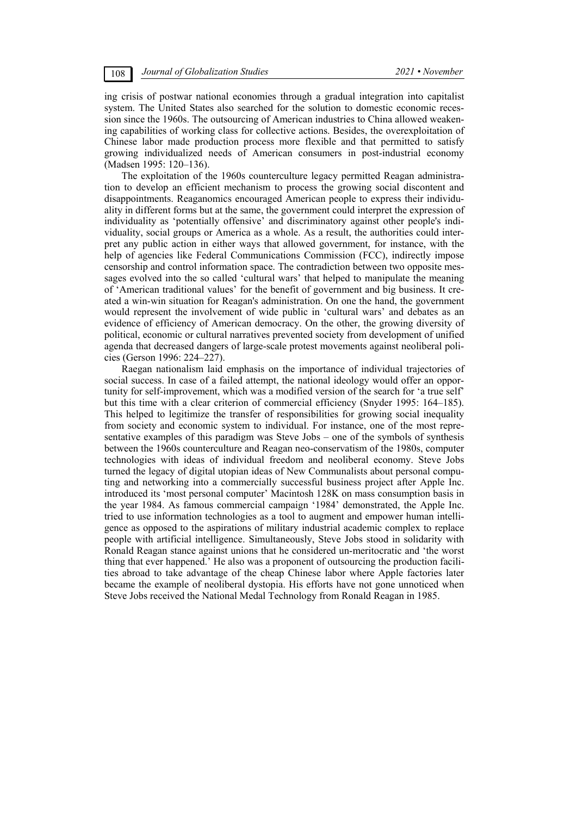ing crisis of postwar national economies through a gradual integration into capitalist system. The United States also searched for the solution to domestic economic recession since the 1960s. The outsourcing of American industries to China allowed weakening capabilities of working class for collective actions. Besides, the overexploitation of Chinese labor made production process more flexible and that permitted to satisfy growing individualized needs of American consumers in post-industrial economy (Madsen 1995: 120–136).

The exploitation of the 1960s counterculture legacy permitted Reagan administration to develop an efficient mechanism to process the growing social discontent and disappointments. Reaganomics encouraged American people to express their individuality in different forms but at the same, the government could interpret the expression of individuality as 'potentially offensive' and discriminatory against other people's individuality, social groups or America as a whole. As a result, the authorities could interpret any public action in either ways that allowed government, for instance, with the help of agencies like Federal Communications Commission (FCC), indirectly impose censorship and control information space. The contradiction between two opposite messages evolved into the so called 'cultural wars' that helped to manipulate the meaning of 'American traditional values' for the benefit of government and big business. It created a win-win situation for Reagan's administration. On one the hand, the government would represent the involvement of wide public in 'cultural wars' and debates as an evidence of efficiency of American democracy. On the other, the growing diversity of political, economic or cultural narratives prevented society from development of unified agenda that decreased dangers of large-scale protest movements against neoliberal policies (Gerson 1996: 224–227).

Raegan nationalism laid emphasis on the importance of individual trajectories of social success. In case of a failed attempt, the national ideology would offer an opportunity for self-improvement, which was a modified version of the search for 'a true self' but this time with a clear criterion of commercial efficiency (Snyder 1995: 164–185). This helped to legitimize the transfer of responsibilities for growing social inequality from society and economic system to individual. For instance, one of the most representative examples of this paradigm was Steve Jobs – one of the symbols of synthesis between the 1960s counterculture and Reagan neo-conservatism of the 1980s, computer technologies with ideas of individual freedom and neoliberal economy. Steve Jobs turned the legacy of digital utopian ideas of New Communalists about personal computing and networking into a commercially successful business project after Apple Inc. introduced its 'most personal computer' Macintosh 128K on mass consumption basis in the year 1984. As famous commercial campaign '1984' demonstrated, the Apple Inc. tried to use information technologies as a tool to augment and empower human intelligence as opposed to the aspirations of military industrial academic complex to replace people with artificial intelligence. Simultaneously, Steve Jobs stood in solidarity with Ronald Reagan stance against unions that he considered un-meritocratic and 'the worst thing that ever happened.' He also was a proponent of outsourcing the production facilities abroad to take advantage of the cheap Chinese labor where Apple factories later became the example of neoliberal dystopia. His efforts have not gone unnoticed when Steve Jobs received the National Medal Technology from Ronald Reagan in 1985.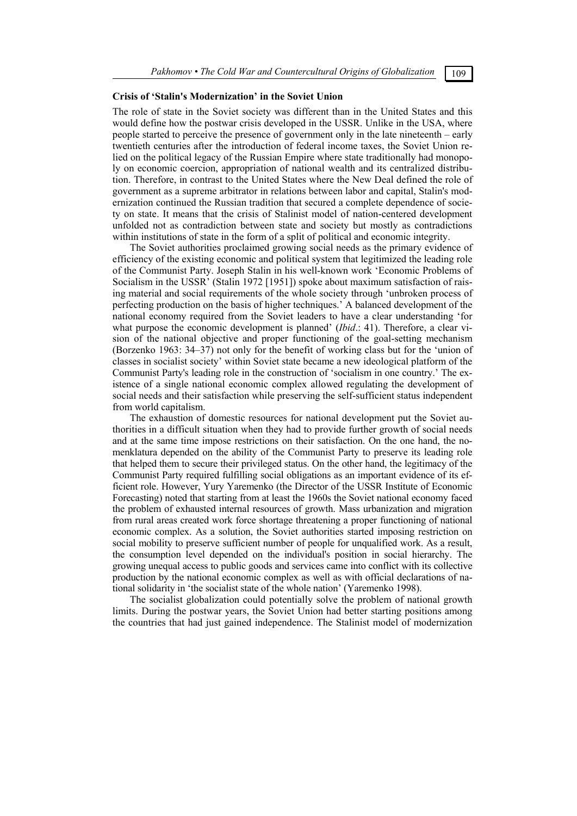### **Crisis of 'Stalin's Modernization' in the Soviet Union**

The role of state in the Soviet society was different than in the United States and this would define how the postwar crisis developed in the USSR. Unlike in the USA, where people started to perceive the presence of government only in the late nineteenth – early twentieth centuries after the introduction of federal income taxes, the Soviet Union relied on the political legacy of the Russian Empire where state traditionally had monopoly on economic coercion, appropriation of national wealth and its centralized distribution. Therefore, in contrast to the United States where the New Deal defined the role of government as a supreme arbitrator in relations between labor and capital, Stalin's modernization continued the Russian tradition that secured a complete dependence of society on state. It means that the crisis of Stalinist model of nation-centered development unfolded not as contradiction between state and society but mostly as contradictions within institutions of state in the form of a split of political and economic integrity.

The Soviet authorities proclaimed growing social needs as the primary evidence of efficiency of the existing economic and political system that legitimized the leading role of the Communist Party. Joseph Stalin in his well-known work 'Economic Problems of Socialism in the USSR' (Stalin 1972 [1951]) spoke about maximum satisfaction of raising material and social requirements of the whole society through 'unbroken process of perfecting production on the basis of higher techniques.' A balanced development of the national economy required from the Soviet leaders to have a clear understanding 'for what purpose the economic development is planned' (*Ibid*.: 41). Therefore, a clear vision of the national objective and proper functioning of the goal-setting mechanism (Borzenko 1963: 34–37) not only for the benefit of working class but for the 'union of classes in socialist society' within Soviet state became a new ideological platform of the Communist Party's leading role in the construction of 'socialism in one country.' The existence of a single national economic complex allowed regulating the development of social needs and their satisfaction while preserving the self-sufficient status independent from world capitalism.

The exhaustion of domestic resources for national development put the Soviet authorities in a difficult situation when they had to provide further growth of social needs and at the same time impose restrictions on their satisfaction. On the one hand, the nomenklatura depended on the ability of the Communist Party to preserve its leading role that helped them to secure their privileged status. On the other hand, the legitimacy of the Communist Party required fulfilling social obligations as an important evidence of its efficient role. However, Yury Yaremenko (the Director of the USSR Institute of Economic Forecasting) noted that starting from at least the 1960s the Soviet national economy faced the problem of exhausted internal resources of growth. Mass urbanization and migration from rural areas created work force shortage threatening a proper functioning of national economic complex. As a solution, the Soviet authorities started imposing restriction on social mobility to preserve sufficient number of people for unqualified work. As a result, the consumption level depended on the individual's position in social hierarchy. The growing unequal access to public goods and services came into conflict with its collective production by the national economic complex as well as with official declarations of national solidarity in 'the socialist state of the whole nation' (Yaremenko 1998).

The socialist globalization could potentially solve the problem of national growth limits. During the postwar years, the Soviet Union had better starting positions among the countries that had just gained independence. The Stalinist model of modernization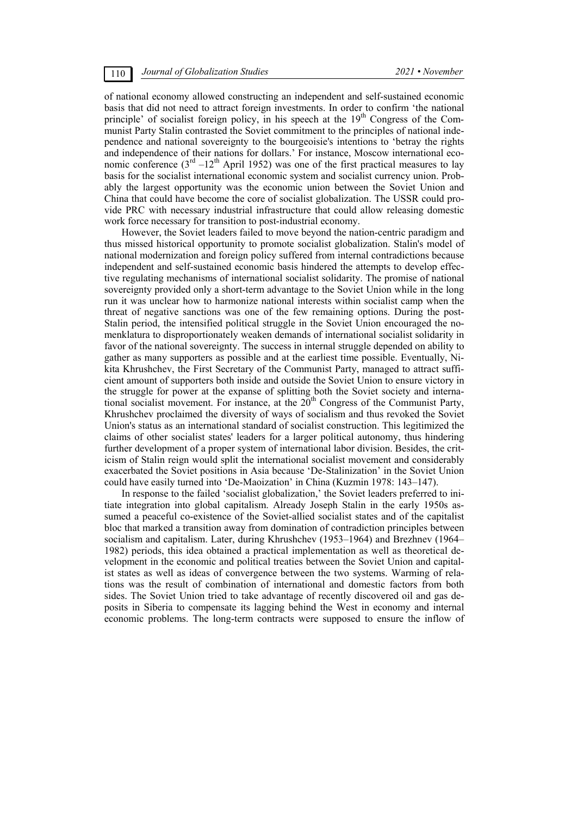of national economy allowed constructing an independent and self-sustained economic basis that did not need to attract foreign investments. In order to confirm 'the national principle' of socialist foreign policy, in his speech at the  $19<sup>th</sup>$  Congress of the Communist Party Stalin contrasted the Soviet commitment to the principles of national independence and national sovereignty to the bourgeoisie's intentions to 'betray the rights and independence of their nations for dollars.' For instance, Moscow international economic conference  $(3<sup>rd</sup> -12<sup>th</sup>$  April 1952) was one of the first practical measures to lay basis for the socialist international economic system and socialist currency union. Probably the largest opportunity was the economic union between the Soviet Union and China that could have become the core of socialist globalization. The USSR could provide PRC with necessary industrial infrastructure that could allow releasing domestic work force necessary for transition to post-industrial economy.

However, the Soviet leaders failed to move beyond the nation-centric paradigm and thus missed historical opportunity to promote socialist globalization. Stalin's model of national modernization and foreign policy suffered from internal contradictions because independent and self-sustained economic basis hindered the attempts to develop effective regulating mechanisms of international socialist solidarity. The promise of national sovereignty provided only a short-term advantage to the Soviet Union while in the long run it was unclear how to harmonize national interests within socialist camp when the threat of negative sanctions was one of the few remaining options. During the post-Stalin period, the intensified political struggle in the Soviet Union encouraged the nomenklatura to disproportionately weaken demands of international socialist solidarity in favor of the national sovereignty. The success in internal struggle depended on ability to gather as many supporters as possible and at the earliest time possible. Eventually, Nikita Khrushchev, the First Secretary of the Communist Party, managed to attract sufficient amount of supporters both inside and outside the Soviet Union to ensure victory in the struggle for power at the expanse of splitting both the Soviet society and international socialist movement. For instance, at the  $20<sup>th</sup>$  Congress of the Communist Party, Khrushchev proclaimed the diversity of ways of socialism and thus revoked the Soviet Union's status as an international standard of socialist construction. This legitimized the claims of other socialist states' leaders for a larger political autonomy, thus hindering further development of a proper system of international labor division. Besides, the criticism of Stalin reign would split the international socialist movement and considerably exacerbated the Soviet positions in Asia because 'De-Stalinization' in the Soviet Union could have easily turned into 'De-Maoization' in China (Kuzmin 1978: 143–147).

In response to the failed 'socialist globalization,' the Soviet leaders preferred to initiate integration into global capitalism. Already Joseph Stalin in the early 1950s assumed a peaceful co-existence of the Soviet-allied socialist states and of the capitalist bloc that marked a transition away from domination of contradiction principles between socialism and capitalism. Later, during Khrushchev (1953–1964) and Brezhnev (1964– 1982) periods, this idea obtained a practical implementation as well as theoretical development in the economic and political treaties between the Soviet Union and capitalist states as well as ideas of convergence between the two systems. Warming of relations was the result of combination of international and domestic factors from both sides. The Soviet Union tried to take advantage of recently discovered oil and gas deposits in Siberia to compensate its lagging behind the West in economy and internal economic problems. The long-term contracts were supposed to ensure the inflow of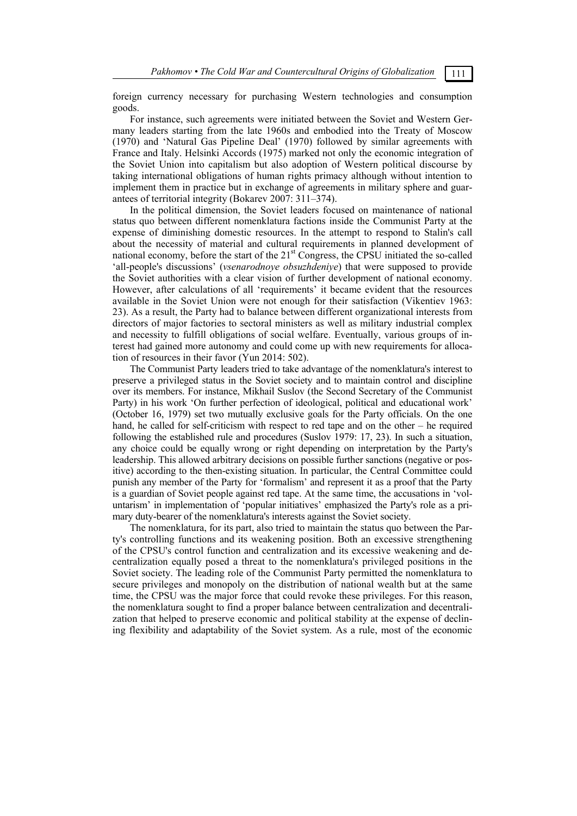foreign currency necessary for purchasing Western technologies and consumption goods.

For instance, such agreements were initiated between the Soviet and Western Germany leaders starting from the late 1960s and embodied into the Treaty of Moscow (1970) and 'Natural Gas Pipeline Deal' (1970) followed by similar agreements with France and Italy. Helsinki Accords (1975) marked not only the economic integration of the Soviet Union into capitalism but also adoption of Western political discourse by taking international obligations of human rights primacy although without intention to implement them in practice but in exchange of agreements in military sphere and guarantees of territorial integrity (Bokarev 2007: 311–374).

In the political dimension, the Soviet leaders focused on maintenance of national status quo between different nomenklatura factions inside the Communist Party at the expense of diminishing domestic resources. In the attempt to respond to Stalin's call about the necessity of material and cultural requirements in planned development of national economy, before the start of the 21<sup>st</sup> Congress, the CPSU initiated the so-called 'all-people's discussions' (*vsenarodnoye obsuzhdeniye*) that were supposed to provide the Soviet authorities with a clear vision of further development of national economy. However, after calculations of all 'requirements' it became evident that the resources available in the Soviet Union were not enough for their satisfaction (Vikentiev 1963: 23). As a result, the Party had to balance between different organizational interests from directors of major factories to sectoral ministers as well as military industrial complex and necessity to fulfill obligations of social welfare. Eventually, various groups of interest had gained more autonomy and could come up with new requirements for allocation of resources in their favor (Yun 2014: 502).

The Communist Party leaders tried to take advantage of the nomenklatura's interest to preserve a privileged status in the Soviet society and to maintain control and discipline over its members. For instance, Mikhail Suslov (the Second Secretary of the Communist Party) in his work 'On further perfection of ideological, political and educational work' (October 16, 1979) set two mutually exclusive goals for the Party officials. On the one hand, he called for self-criticism with respect to red tape and on the other – he required following the established rule and procedures (Suslov 1979: 17, 23). In such a situation, any choice could be equally wrong or right depending on interpretation by the Party's leadership. This allowed arbitrary decisions on possible further sanctions (negative or positive) according to the then-existing situation. In particular, the Central Committee could punish any member of the Party for 'formalism' and represent it as a proof that the Party is a guardian of Soviet people against red tape. At the same time, the accusations in 'voluntarism' in implementation of 'popular initiatives' emphasized the Party's role as a primary duty-bearer of the nomenklatura's interests against the Soviet society.

The nomenklatura, for its part, also tried to maintain the status quo between the Party's controlling functions and its weakening position. Both an excessive strengthening of the CPSU's control function and centralization and its excessive weakening and decentralization equally posed a threat to the nomenklatura's privileged positions in the Soviet society. The leading role of the Communist Party permitted the nomenklatura to secure privileges and monopoly on the distribution of national wealth but at the same time, the CPSU was the major force that could revoke these privileges. For this reason, the nomenklatura sought to find a proper balance between centralization and decentralization that helped to preserve economic and political stability at the expense of declining flexibility and adaptability of the Soviet system. As a rule, most of the economic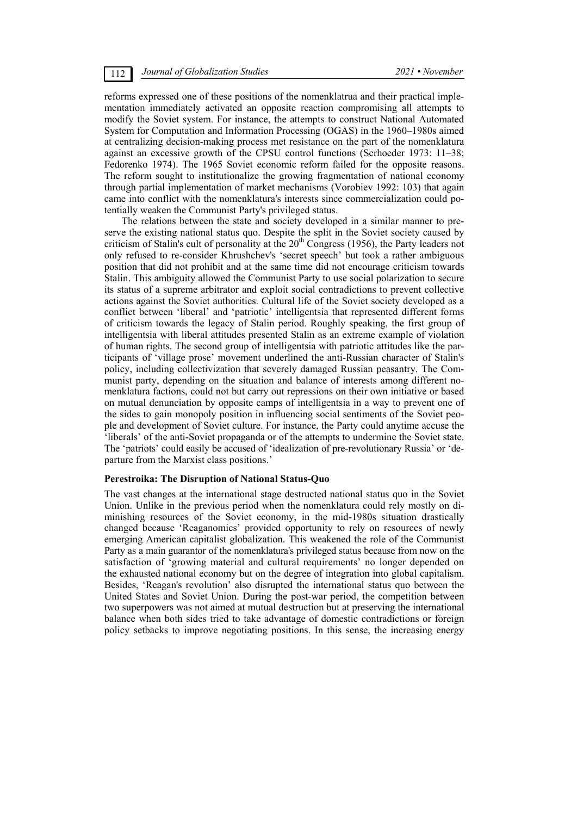reforms expressed one of these positions of the nomenklatrua and their practical implementation immediately activated an opposite reaction compromising all attempts to modify the Soviet system. For instance, the attempts to construct National Automated System for Computation and Information Processing (OGAS) in the 1960–1980s aimed at centralizing decision-making process met resistance on the part of the nomenklatura against an excessive growth of the CPSU control functions (Scrhoeder 1973: 11–38; Fedorenko 1974). The 1965 Soviet economic reform failed for the opposite reasons. The reform sought to institutionalize the growing fragmentation of national economy through partial implementation of market mechanisms (Vorobiev 1992: 103) that again came into conflict with the nomenklatura's interests since commercialization could potentially weaken the Communist Party's privileged status.

The relations between the state and society developed in a similar manner to preserve the existing national status quo. Despite the split in the Soviet society caused by criticism of Stalin's cult of personality at the 20<sup>th</sup> Congress (1956), the Party leaders not only refused to re-consider Khrushchev's 'secret speech' but took a rather ambiguous position that did not prohibit and at the same time did not encourage criticism towards Stalin. This ambiguity allowed the Communist Party to use social polarization to secure its status of a supreme arbitrator and exploit social contradictions to prevent collective actions against the Soviet authorities. Cultural life of the Soviet society developed as a conflict between 'liberal' and 'patriotic' intelligentsia that represented different forms of criticism towards the legacy of Stalin period. Roughly speaking, the first group of intelligentsia with liberal attitudes presented Stalin as an extreme example of violation of human rights. The second group of intelligentsia with patriotic attitudes like the participants of 'village prose' movement underlined the anti-Russian character of Stalin's policy, including collectivization that severely damaged Russian peasantry. The Communist party, depending on the situation and balance of interests among different nomenklatura factions, could not but carry out repressions on their own initiative or based on mutual denunciation by opposite camps of intelligentsia in a way to prevent one of the sides to gain monopoly position in influencing social sentiments of the Soviet people and development of Soviet culture. For instance, the Party could anytime accuse the 'liberals' of the anti-Soviet propaganda or of the attempts to undermine the Soviet state. The 'patriots' could easily be accused of 'idealization of pre-revolutionary Russia' or 'departure from the Marxist class positions.'

### **Perestroika: The Disruption of National Status-Quo**

The vast changes at the international stage destructed national status quo in the Soviet Union. Unlike in the previous period when the nomenklatura could rely mostly on diminishing resources of the Soviet economy, in the mid-1980s situation drastically changed because 'Reaganomics' provided opportunity to rely on resources of newly emerging American capitalist globalization. This weakened the role of the Communist Party as a main guarantor of the nomenklatura's privileged status because from now on the satisfaction of 'growing material and cultural requirements' no longer depended on the exhausted national economy but on the degree of integration into global capitalism. Besides, 'Reagan's revolution' also disrupted the international status quo between the United States and Soviet Union. During the post-war period, the competition between two superpowers was not aimed at mutual destruction but at preserving the international balance when both sides tried to take advantage of domestic contradictions or foreign policy setbacks to improve negotiating positions. In this sense, the increasing energy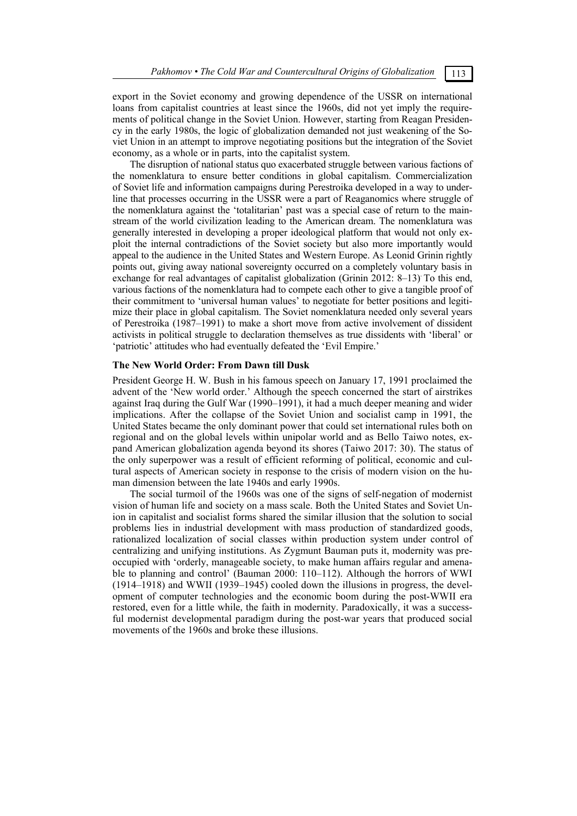export in the Soviet economy and growing dependence of the USSR on international loans from capitalist countries at least since the 1960s, did not yet imply the requirements of political change in the Soviet Union. However, starting from Reagan Presidency in the early 1980s, the logic of globalization demanded not just weakening of the Soviet Union in an attempt to improve negotiating positions but the integration of the Soviet economy, as a whole or in parts, into the capitalist system.

The disruption of national status quo exacerbated struggle between various factions of the nomenklatura to ensure better conditions in global capitalism. Commercialization of Soviet life and information campaigns during Perestroika developed in a way to underline that processes occurring in the USSR were a part of Reaganomics where struggle of the nomenklatura against the 'totalitarian' past was a special case of return to the mainstream of the world civilization leading to the American dream. The nomenklatura was generally interested in developing a proper ideological platform that would not only exploit the internal contradictions of the Soviet society but also more importantly would appeal to the audience in the United States and Western Europe. As Leonid Grinin rightly points out, giving away national sovereignty occurred on a completely voluntary basis in exchange for real advantages of capitalist globalization (Grinin 2012: 8–13) To this end, various factions of the nomenklatura had to compete each other to give a tangible proof of their commitment to 'universal human values' to negotiate for better positions and legitimize their place in global capitalism. The Soviet nomenklatura needed only several years of Perestroika (1987–1991) to make a short move from active involvement of dissident activists in political struggle to declaration themselves as true dissidents with 'liberal' or 'patriotic' attitudes who had eventually defeated the 'Evil Empire.'

# **The New World Order: From Dawn till Dusk**

President George H. W. Bush in his famous speech on January 17, 1991 proclaimed the advent of the 'New world order.' Although the speech concerned the start of airstrikes against Iraq during the Gulf War (1990–1991), it had a much deeper meaning and wider implications. After the collapse of the Soviet Union and socialist camp in 1991, the United States became the only dominant power that could set international rules both on regional and on the global levels within unipolar world and as Bello Taiwo notes, expand American globalization agenda beyond its shores (Taiwo 2017: 30). The status of the only superpower was a result of efficient reforming of political, economic and cultural aspects of American society in response to the crisis of modern vision on the human dimension between the late 1940s and early 1990s.

The social turmoil of the 1960s was one of the signs of self-negation of modernist vision of human life and society on a mass scale. Both the United States and Soviet Union in capitalist and socialist forms shared the similar illusion that the solution to social problems lies in industrial development with mass production of standardized goods, rationalized localization of social classes within production system under control of centralizing and unifying institutions. As Zygmunt Bauman puts it, modernity was preoccupied with 'orderly, manageable society, to make human affairs regular and amenable to planning and control' (Bauman 2000: 110–112). Although the horrors of WWI (1914–1918) and WWII (1939–1945) cooled down the illusions in progress, the development of computer technologies and the economic boom during the post-WWII era restored, even for a little while, the faith in modernity. Paradoxically, it was a successful modernist developmental paradigm during the post-war years that produced social movements of the 1960s and broke these illusions.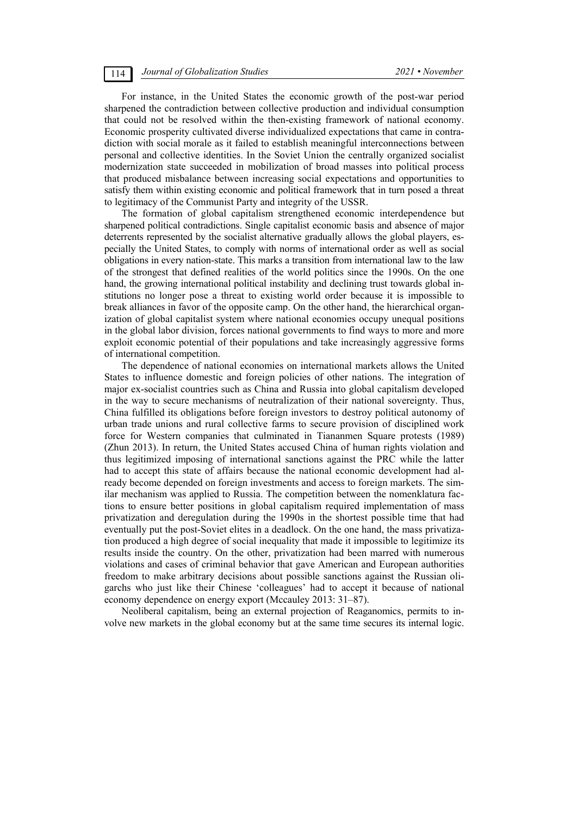For instance, in the United States the economic growth of the post-war period sharpened the contradiction between collective production and individual consumption that could not be resolved within the then-existing framework of national economy. Economic prosperity cultivated diverse individualized expectations that came in contradiction with social morale as it failed to establish meaningful interconnections between personal and collective identities. In the Soviet Union the centrally organized socialist modernization state succeeded in mobilization of broad masses into political process that produced misbalance between increasing social expectations and opportunities to satisfy them within existing economic and political framework that in turn posed a threat to legitimacy of the Communist Party and integrity of the USSR.

The formation of global capitalism strengthened economic interdependence but sharpened political contradictions. Single capitalist economic basis and absence of major deterrents represented by the socialist alternative gradually allows the global players, especially the United States, to comply with norms of international order as well as social obligations in every nation-state. This marks a transition from international law to the law of the strongest that defined realities of the world politics since the 1990s. On the one hand, the growing international political instability and declining trust towards global institutions no longer pose a threat to existing world order because it is impossible to break alliances in favor of the opposite camp. On the other hand, the hierarchical organization of global capitalist system where national economies occupy unequal positions in the global labor division, forces national governments to find ways to more and more exploit economic potential of their populations and take increasingly aggressive forms of international competition.

The dependence of national economies on international markets allows the United States to influence domestic and foreign policies of other nations. The integration of major ex-socialist countries such as China and Russia into global capitalism developed in the way to secure mechanisms of neutralization of their national sovereignty. Thus, China fulfilled its obligations before foreign investors to destroy political autonomy of urban trade unions and rural collective farms to secure provision of disciplined work force for Western companies that culminated in Tiananmen Square protests (1989) (Zhun 2013). In return, the United States accused China of human rights violation and thus legitimized imposing of international sanctions against the PRC while the latter had to accept this state of affairs because the national economic development had already become depended on foreign investments and access to foreign markets. The similar mechanism was applied to Russia. The competition between the nomenklatura factions to ensure better positions in global capitalism required implementation of mass privatization and deregulation during the 1990s in the shortest possible time that had eventually put the post-Soviet elites in a deadlock. On the one hand, the mass privatization produced a high degree of social inequality that made it impossible to legitimize its results inside the country. On the other, privatization had been marred with numerous violations and cases of criminal behavior that gave American and European authorities freedom to make arbitrary decisions about possible sanctions against the Russian oligarchs who just like their Chinese 'colleagues' had to accept it because of national economy dependence on energy export (Mccauley 2013: 31–87).

Neoliberal capitalism, being an external projection of Reaganomics, permits to involve new markets in the global economy but at the same time secures its internal logic.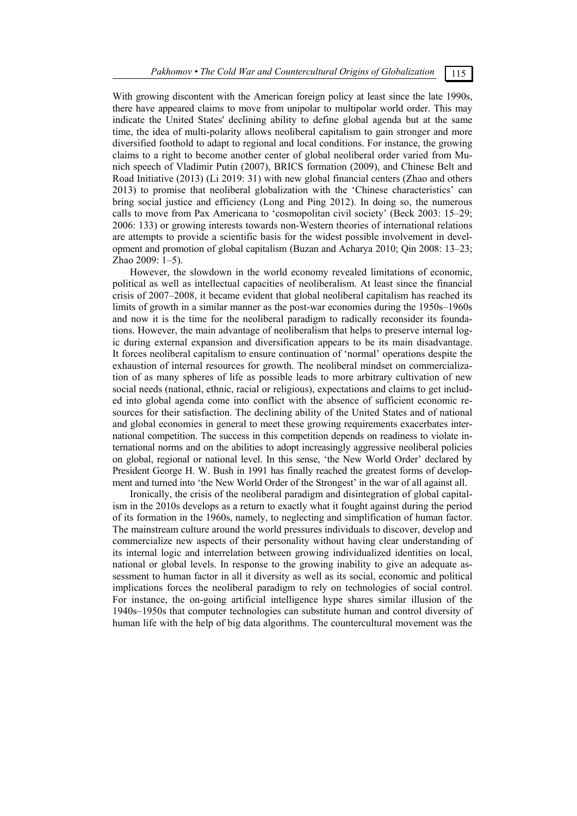With growing discontent with the American foreign policy at least since the late 1990s, there have appeared claims to move from unipolar to multipolar world order. This may indicate the United States' declining ability to define global agenda but at the same time, the idea of multi-polarity allows neoliberal capitalism to gain stronger and more diversified foothold to adapt to regional and local conditions. For instance, the growing claims to a right to become another center of global neoliberal order varied from Munich speech of Vladimir Putin (2007), BRICS formation (2009), and Chinese Belt and Road Initiative (2013) (Li 2019: 31) with new global financial centers (Zhao and others 2013) to promise that neoliberal globalization with the 'Chinese characteristics' can bring social justice and efficiency (Long and Ping 2012). In doing so, the numerous calls to move from Pax Americana to 'cosmopolitan civil society' (Beck 2003: 15–29; 2006: 133) or growing interests towards non-Western theories of international relations are attempts to provide a scientific basis for the widest possible involvement in development and promotion of global capitalism (Buzan and Acharya 2010; Qin 2008: 13–23; Zhao 2009: 1–5).

However, the slowdown in the world economy revealed limitations of economic, political as well as intellectual capacities of neoliberalism. At least since the financial crisis of 2007–2008, it became evident that global neoliberal capitalism has reached its limits of growth in a similar manner as the post-war economies during the 1950s–1960s and now it is the time for the neoliberal paradigm to radically reconsider its foundations. However, the main advantage of neoliberalism that helps to preserve internal logic during external expansion and diversification appears to be its main disadvantage. It forces neoliberal capitalism to ensure continuation of 'normal' operations despite the exhaustion of internal resources for growth. The neoliberal mindset on commercialization of as many spheres of life as possible leads to more arbitrary cultivation of new social needs (national, ethnic, racial or religious), expectations and claims to get included into global agenda come into conflict with the absence of sufficient economic resources for their satisfaction. The declining ability of the United States and of national and global economies in general to meet these growing requirements exacerbates international competition. The success in this competition depends on readiness to violate international norms and on the abilities to adopt increasingly aggressive neoliberal policies on global, regional or national level. In this sense, 'the New World Order' declared by President George H. W. Bush in 1991 has finally reached the greatest forms of development and turned into 'the New World Order of the Strongest' in the war of all against all.

Ironically, the crisis of the neoliberal paradigm and disintegration of global capitalism in the 2010s develops as a return to exactly what it fought against during the period of its formation in the 1960s, namely, to neglecting and simplification of human factor. The mainstream culture around the world pressures individuals to discover, develop and commercialize new aspects of their personality without having clear understanding of its internal logic and interrelation between growing individualized identities on local, national or global levels. In response to the growing inability to give an adequate assessment to human factor in all it diversity as well as its social, economic and political implications forces the neoliberal paradigm to rely on technologies of social control. For instance, the on-going artificial intelligence hype shares similar illusion of the 1940s–1950s that computer technologies can substitute human and control diversity of human life with the help of big data algorithms. The countercultural movement was the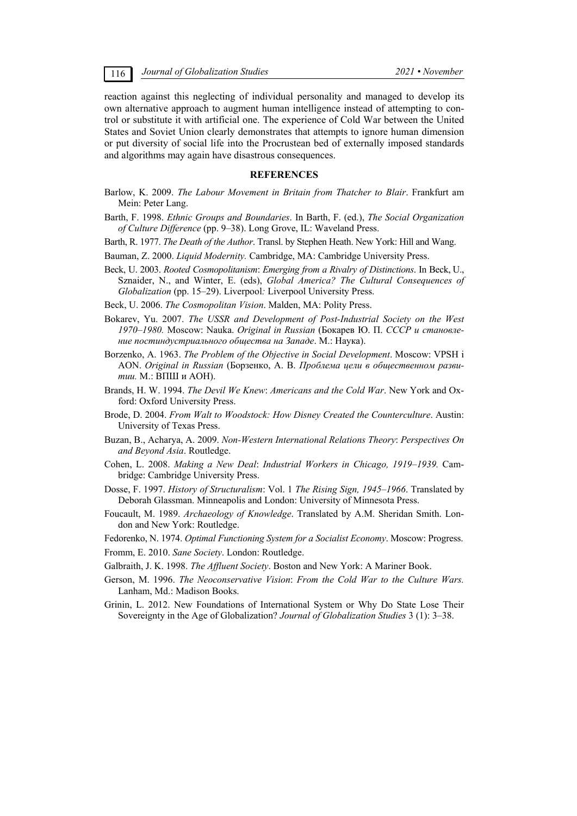reaction against this neglecting of individual personality and managed to develop its own alternative approach to augment human intelligence instead of attempting to control or substitute it with artificial one. The experience of Cold War between the United States and Soviet Union clearly demonstrates that attempts to ignore human dimension or put diversity of social life into the Procrustean bed of externally imposed standards and algorithms may again have disastrous consequences.

# **REFERENCES**

- Barlow, K. 2009. *The Labour Movement in Britain from Thatcher to Blair*. Frankfurt am Mein: Peter Lang.
- Barth, F. 1998. *Ethnic Groups and Boundaries*. In Barth, F. (ed.), *The Social Organization of Culture Difference* (pp. 9–38). Long Grove, IL: Waveland Press.
- Barth, R. 1977. *The Death of the Author*. Transl. by Stephen Heath. New York: Hill and Wang.
- Bauman, Z. 2000. *Liquid Modernity.* Cambridge, MA: Cambridge University Press.
- Beck, U. 2003. *Rooted Cosmopolitanism*: *Emerging from a Rivalry of Distinctions*. In Beck, U., Sznaider, N., and Winter, E. (eds), *Global America? The Cultural Consequences of Globalization* (pp. 15–29). Liverpool*:* Liverpool University Press.
- Beck, U. 2006. *The Cosmopolitan Vision*. Malden, MA: Polity Press.
- Bokarev, Yu. 2007. *The USSR and Development of Post-Industrial Society on the West 1970–1980.* Moscow: Nauka. *Original in Russian* (Бокарев Ю. П. *СССР и становление постиндустриального общества на Западе*. М.: Наука).
- Borzenko, A. 1963. *The Problem of the Objective in Social Development*. Moscow: VPSH i AON. *Original in Russian* (Борзенко, А. В. *Проблема цели в общественном развитии.* М.: ВПШ и АОН).
- Brands, H. W. 1994. *The Devil We Knew*: *Americans and the Cold War*. New York and Oxford: Oxford University Press.
- Brode, D. 2004. *From Walt to Woodstock: How Disney Created the Counterculture*. Austin: University of Texas Press.
- Buzan, B., Acharya, A. 2009. *Non-Western International Relations Theory*: *Perspectives On and Beyond Asia*. Routledge.
- Cohen, L. 2008. *Making a New Deal*: *Industrial Workers in Chicago, 1919–1939.* Cambridge: Cambridge University Press.
- Dosse, F. 1997. *History of Structuralism*: Vol. 1 *The Rising Sign, 1945–1966*. Translated by Deborah Glassman. Minneapolis and London: University of Minnesota Press.
- Foucault, M. 1989. *Archaeology of Knowledge*. Translated by A.M. Sheridan Smith. London and New York: Routledge.
- Fedorenko, N. 1974. *Optimal Functioning System for a Socialist Economy*. Moscow: Progress.
- Fromm, E. 2010. *Sane Society*. London: Routledge.
- Galbraith, J. K. 1998. *The Affluent Society*. Boston and New York: A Mariner Book.
- Gerson, M. 1996. *The Neoconservative Vision*: *From the Cold War to the Culture Wars.* Lanham, Md.: Madison Books.
- Grinin, L. 2012. New Foundations of International System or Why Do State Lose Their Sovereignty in the Age of Globalization? *Journal of Globalization Studies* 3 (1): 3–38.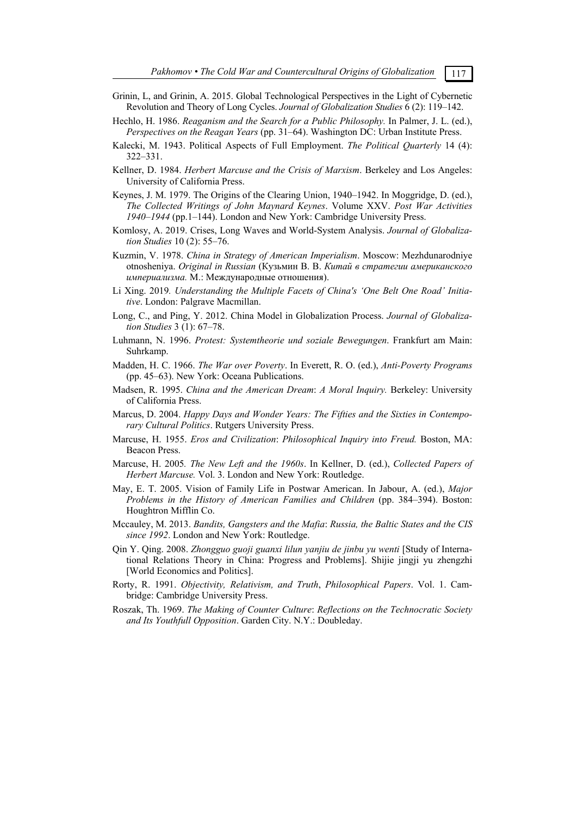- Grinin, L, and Grinin, A. 2015. Global Technological Perspectives in the Light of Cybernetic Revolution and Theory of Long Cycles. *Journal of Globalization Studies* 6 (2): 119–142.
- Hechlo, H. 1986. *Reaganism and the Search for a Public Philosophy.* In Palmer, J. L. (ed.), *Perspectives on the Reagan Years* (pp. 31–64). Washington DC: Urban Institute Press.
- Kalecki, M. 1943. Political Aspects of Full Employment. *The Political Quarterly* 14 (4): 322–331.
- Kellner, D. 1984. *Herbert Marcuse and the Crisis of Marxism*. Berkeley and Los Angeles: University of California Press.
- Keynes, J. M. 1979. The Origins of the Clearing Union, 1940–1942. In Moggridge, D. (ed.), *The Collected Writings of John Maynard Keynes*. Volume XXV. *Post War Activities 1940–1944* (pp.1–144). London and New York: Cambridge University Press.
- Komlosy, A. 2019. Crises, Long Waves and World-System Analysis. *Journal of Globalization Studies* 10 (2): 55–76.
- Kuzmin, V. 1978. *China in Strategy of American Imperialism*. Moscow: Mezhdunarodniye otnosheniya. *Original in Russian* (Кузьмин В. В. *Китай в стратегии американского империализма.* М.: Международные отношения).
- Li Xing. 2019*. Understanding the Multiple Facets of China's 'One Belt One Road' Initiative*. London: Palgrave Macmillan.
- Long, C., and Ping, Y. 2012. China Model in Globalization Process. *Journal of Globalization Studies* 3 (1): 67–78.
- Luhmann, N. 1996. *Protest: Systemtheorie und soziale Bewegungen*. Frankfurt am Main: Suhrkamp.
- Madden, H. C. 1966. *The War over Poverty*. In Everett, R. O. (ed.), *Anti-Poverty Programs* (pp. 45–63). New York: Oceana Publications.
- Madsen, R. 1995. *China and the American Dream*: *A Moral Inquiry.* Berkeley: University of California Press.
- Marcus, D. 2004. *Happy Days and Wonder Years: The Fifties and the Sixties in Contemporary Cultural Politics*. Rutgers University Press.
- Marcuse, H. 1955. *Eros and Civilization*: *Philosophical Inquiry into Freud.* Boston, MA: Beacon Press.
- Marcuse, H. 2005*. The New Left and the 1960s*. In Kellner, D. (ed.), *Collected Papers of Herbert Marcuse.* Vol. 3. London and New York: Routledge.
- May, E. T. 2005. Vision of Family Life in Postwar American. In Jabour, A. (ed.), *Major Problems in the History of American Families and Children (pp. 384–394). Boston:* Houghtron Mifflin Co.
- Mccauley, M. 2013. *Bandits, Gangsters and the Mafia*: *Russia, the Baltic States and the CIS since 1992*. London and New York: Routledge.
- Qin Y. Qing. 2008. *Zhongguo guoji guanxi lilun yanjiu de jinbu yu wenti* [Study of International Relations Theory in China: Progress and Problems]. Shijie jingji yu zhengzhi [World Economics and Politics].
- Rorty, R. 1991. *Objectivity, Relativism, and Truth*, *Philosophical Papers*. Vol. 1. Cambridge: Cambridge University Press.
- Roszak, Th. 1969. *The Making of Counter Culture*: *Reflections on the Technocratic Society and Its Youthfull Opposition*. Garden City. N.Y.: Doubleday.